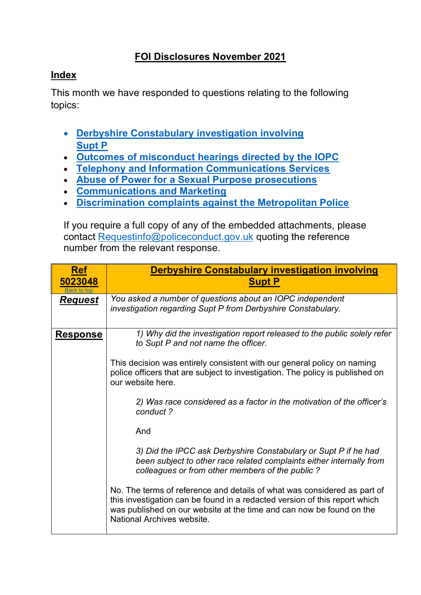## **FOI Disclosures November 2021**

## <span id="page-0-1"></span>**Index**

This month we have responded to questions relating to the following topics:

- **[Derbyshire Constabulary investigation involving](#page-0-0) [Supt P](#page-0-0)**
- **[Outcomes of misconduct hearings directed by the IOPC](#page-1-0)**
- **[Telephony and Information Communications Services](#page-2-0)**
- **[Abuse of Power for a Sexual Purpose prosecutions](#page-4-0)**
- **[Communications and Marketing](#page-5-0)**
- **[Discrimination complaints against the Metropolitan Police](#page-6-0)**

If you require a full copy of any of the embedded attachments, please contact [Requestinfo@policeconduct.gov.uk](mailto:Requestinfo@policeconduct.gov.uk) quoting the reference number from the relevant response.

<span id="page-0-0"></span>

| <b>Ref</b><br>5023048<br>Back to top | <b>Derbyshire Constabulary investigation involving</b><br><b>Supt P</b>                                                                                                                                                                                      |
|--------------------------------------|--------------------------------------------------------------------------------------------------------------------------------------------------------------------------------------------------------------------------------------------------------------|
| <b>Request</b>                       | You asked a number of questions about an IOPC independent<br>investigation regarding Supt P from Derbyshire Constabulary.                                                                                                                                    |
| <b>Response</b>                      | 1) Why did the investigation report released to the public solely refer<br>to Supt P and not name the officer.                                                                                                                                               |
|                                      | This decision was entirely consistent with our general policy on naming<br>police officers that are subject to investigation. The policy is published on<br>our website here.                                                                                |
|                                      | 2) Was race considered as a factor in the motivation of the officer's<br>conduct?                                                                                                                                                                            |
|                                      | And                                                                                                                                                                                                                                                          |
|                                      | 3) Did the IPCC ask Derbyshire Constabulary or Supt P if he had<br>been subject to other race related complaints either internally from<br>colleagues or from other members of the public?                                                                   |
|                                      | No. The terms of reference and details of what was considered as part of<br>this investigation can be found in a redacted version of this report which<br>was published on our website at the time and can now be found on the<br>National Archives website. |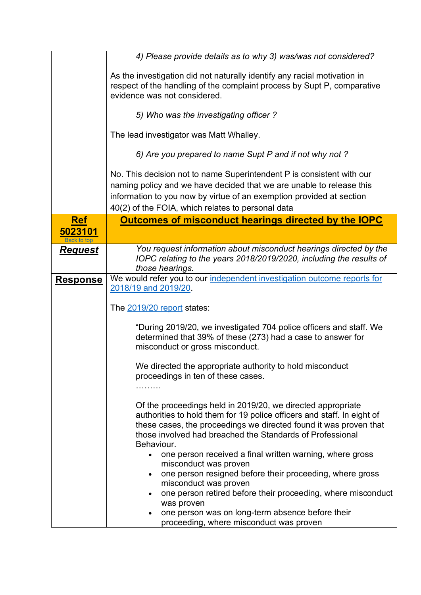<span id="page-1-0"></span>

|                 | 4) Please provide details as to why 3) was/was not considered?                                                                                                                                                                                                                        |
|-----------------|---------------------------------------------------------------------------------------------------------------------------------------------------------------------------------------------------------------------------------------------------------------------------------------|
|                 | As the investigation did not naturally identify any racial motivation in<br>respect of the handling of the complaint process by Supt P, comparative<br>evidence was not considered.                                                                                                   |
|                 | 5) Who was the investigating officer?                                                                                                                                                                                                                                                 |
|                 | The lead investigator was Matt Whalley.                                                                                                                                                                                                                                               |
|                 | 6) Are you prepared to name Supt P and if not why not ?                                                                                                                                                                                                                               |
|                 | No. This decision not to name Superintendent P is consistent with our<br>naming policy and we have decided that we are unable to release this<br>information to you now by virtue of an exemption provided at section<br>40(2) of the FOIA, which relates to personal data            |
| <b>Ref</b>      | Outcomes of misconduct hearings directed by the IOPC                                                                                                                                                                                                                                  |
| 5023101         |                                                                                                                                                                                                                                                                                       |
| <b>Request</b>  | You request information about misconduct hearings directed by the<br>IOPC relating to the years 2018/2019/2020, including the results of<br>those hearings.                                                                                                                           |
| <u>Response</u> | We would refer you to our independent investigation outcome reports for<br>2018/19 and 2019/20.                                                                                                                                                                                       |
|                 | The 2019/20 report states:                                                                                                                                                                                                                                                            |
|                 | "During 2019/20, we investigated 704 police officers and staff. We<br>determined that 39% of these (273) had a case to answer for<br>misconduct or gross misconduct.                                                                                                                  |
|                 | We directed the appropriate authority to hold misconduct<br>proceedings in ten of these cases.                                                                                                                                                                                        |
|                 | Of the proceedings held in 2019/20, we directed appropriate<br>authorities to hold them for 19 police officers and staff. In eight of<br>these cases, the proceedings we directed found it was proven that<br>those involved had breached the Standards of Professional<br>Behaviour. |
|                 | one person received a final written warning, where gross<br>misconduct was proven<br>one person resigned before their proceeding, where gross                                                                                                                                         |
|                 | misconduct was proven<br>one person retired before their proceeding, where misconduct<br>was proven                                                                                                                                                                                   |
|                 | one person was on long-term absence before their                                                                                                                                                                                                                                      |
|                 | proceeding, where misconduct was proven                                                                                                                                                                                                                                               |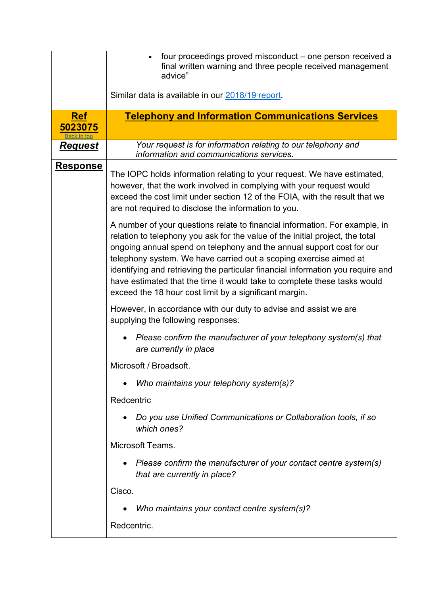<span id="page-2-0"></span>

|                       | four proceedings proved misconduct – one person received a<br>$\bullet$<br>final written warning and three people received management<br>advice"<br>Similar data is available in our 2018/19 report.                                                                                                                                                                                                                                                                                                                                |
|-----------------------|-------------------------------------------------------------------------------------------------------------------------------------------------------------------------------------------------------------------------------------------------------------------------------------------------------------------------------------------------------------------------------------------------------------------------------------------------------------------------------------------------------------------------------------|
| <b>Ref</b><br>5023075 | <b>Telephony and Information Communications Services</b>                                                                                                                                                                                                                                                                                                                                                                                                                                                                            |
| <u>Request</u>        | Your request is for information relating to our telephony and<br>information and communications services.                                                                                                                                                                                                                                                                                                                                                                                                                           |
| <u>Response</u>       | The IOPC holds information relating to your request. We have estimated,<br>however, that the work involved in complying with your request would<br>exceed the cost limit under section 12 of the FOIA, with the result that we<br>are not required to disclose the information to you.                                                                                                                                                                                                                                              |
|                       | A number of your questions relate to financial information. For example, in<br>relation to telephony you ask for the value of the initial project, the total<br>ongoing annual spend on telephony and the annual support cost for our<br>telephony system. We have carried out a scoping exercise aimed at<br>identifying and retrieving the particular financial information you require and<br>have estimated that the time it would take to complete these tasks would<br>exceed the 18 hour cost limit by a significant margin. |
|                       | However, in accordance with our duty to advise and assist we are<br>supplying the following responses:                                                                                                                                                                                                                                                                                                                                                                                                                              |
|                       | Please confirm the manufacturer of your telephony system(s) that<br>are currently in place                                                                                                                                                                                                                                                                                                                                                                                                                                          |
|                       | Microsoft / Broadsoft.                                                                                                                                                                                                                                                                                                                                                                                                                                                                                                              |
|                       | Who maintains your telephony system(s)?                                                                                                                                                                                                                                                                                                                                                                                                                                                                                             |
|                       | Redcentric                                                                                                                                                                                                                                                                                                                                                                                                                                                                                                                          |
|                       | Do you use Unified Communications or Collaboration tools, if so<br>which ones?                                                                                                                                                                                                                                                                                                                                                                                                                                                      |
|                       | Microsoft Teams.                                                                                                                                                                                                                                                                                                                                                                                                                                                                                                                    |
|                       | Please confirm the manufacturer of your contact centre system(s)<br>that are currently in place?                                                                                                                                                                                                                                                                                                                                                                                                                                    |
|                       | Cisco.                                                                                                                                                                                                                                                                                                                                                                                                                                                                                                                              |
|                       | Who maintains your contact centre system(s)?                                                                                                                                                                                                                                                                                                                                                                                                                                                                                        |
|                       | Redcentric.                                                                                                                                                                                                                                                                                                                                                                                                                                                                                                                         |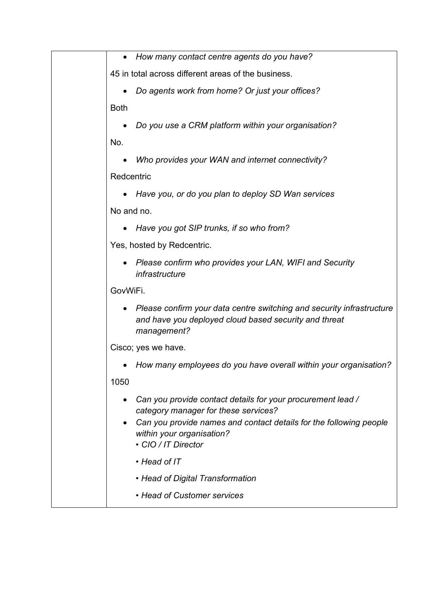|             | How many contact centre agents do you have?                                                                                                   |
|-------------|-----------------------------------------------------------------------------------------------------------------------------------------------|
|             | 45 in total across different areas of the business.                                                                                           |
|             | Do agents work from home? Or just your offices?                                                                                               |
| <b>Both</b> |                                                                                                                                               |
|             | Do you use a CRM platform within your organisation?                                                                                           |
| No.         |                                                                                                                                               |
|             | Who provides your WAN and internet connectivity?                                                                                              |
| Redcentric  |                                                                                                                                               |
|             | Have you, or do you plan to deploy SD Wan services                                                                                            |
| No and no.  |                                                                                                                                               |
|             | Have you got SIP trunks, if so who from?                                                                                                      |
|             | Yes, hosted by Redcentric.                                                                                                                    |
|             | Please confirm who provides your LAN, WIFI and Security<br>infrastructure                                                                     |
| GovWiFi.    |                                                                                                                                               |
|             | Please confirm your data centre switching and security infrastructure<br>and have you deployed cloud based security and threat<br>management? |
|             | Cisco; yes we have.                                                                                                                           |
|             | How many employees do you have overall within your organisation?                                                                              |
| 1050        |                                                                                                                                               |
|             | Can you provide contact details for your procurement lead /<br>category manager for these services?                                           |
|             | Can you provide names and contact details for the following people<br>within your organisation?<br>• CIO / IT Director                        |
|             | • Head of IT                                                                                                                                  |
|             | • Head of Digital Transformation                                                                                                              |
|             | • Head of Customer services                                                                                                                   |
|             |                                                                                                                                               |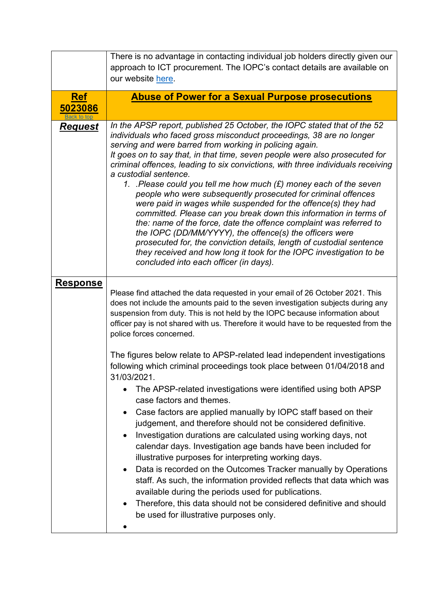<span id="page-4-0"></span>

|                                      | There is no advantage in contacting individual job holders directly given our<br>approach to ICT procurement. The IOPC's contact details are available on<br>our website here.                                                                                                                                                                                                                                                                                                                                                                                                                                                                                                                                                                                                                                                                                                                                                                                                                                 |
|--------------------------------------|----------------------------------------------------------------------------------------------------------------------------------------------------------------------------------------------------------------------------------------------------------------------------------------------------------------------------------------------------------------------------------------------------------------------------------------------------------------------------------------------------------------------------------------------------------------------------------------------------------------------------------------------------------------------------------------------------------------------------------------------------------------------------------------------------------------------------------------------------------------------------------------------------------------------------------------------------------------------------------------------------------------|
| <u>Ref</u><br>5023086<br>Back to top | <b>Abuse of Power for a Sexual Purpose prosecutions</b>                                                                                                                                                                                                                                                                                                                                                                                                                                                                                                                                                                                                                                                                                                                                                                                                                                                                                                                                                        |
| <u>Request</u>                       | In the APSP report, published 25 October, the IOPC stated that of the 52<br>individuals who faced gross misconduct proceedings, 38 are no longer<br>serving and were barred from working in policing again.<br>It goes on to say that, in that time, seven people were also prosecuted for<br>criminal offences, leading to six convictions, with three individuals receiving<br>a custodial sentence.<br>1. Please could you tell me how much $(E)$ money each of the seven<br>people who were subsequently prosecuted for criminal offences<br>were paid in wages while suspended for the offence(s) they had<br>committed. Please can you break down this information in terms of<br>the: name of the force, date the offence complaint was referred to<br>the IOPC (DD/MM/YYYY), the offence(s) the officers were<br>prosecuted for, the conviction details, length of custodial sentence<br>they received and how long it took for the IOPC investigation to be<br>concluded into each officer (in days). |
| <b>Response</b>                      | Please find attached the data requested in your email of 26 October 2021. This<br>does not include the amounts paid to the seven investigation subjects during any<br>suspension from duty. This is not held by the IOPC because information about<br>officer pay is not shared with us. Therefore it would have to be requested from the<br>police forces concerned.                                                                                                                                                                                                                                                                                                                                                                                                                                                                                                                                                                                                                                          |
|                                      | The figures below relate to APSP-related lead independent investigations<br>following which criminal proceedings took place between 01/04/2018 and<br>31/03/2021.<br>The APSP-related investigations were identified using both APSP<br>case factors and themes.<br>Case factors are applied manually by IOPC staff based on their<br>$\bullet$<br>judgement, and therefore should not be considered definitive.<br>Investigation durations are calculated using working days, not<br>calendar days. Investigation age bands have been included for<br>illustrative purposes for interpreting working days.<br>Data is recorded on the Outcomes Tracker manually by Operations<br>staff. As such, the information provided reflects that data which was<br>available during the periods used for publications.<br>Therefore, this data should not be considered definitive and should<br>be used for illustrative purposes only.                                                                               |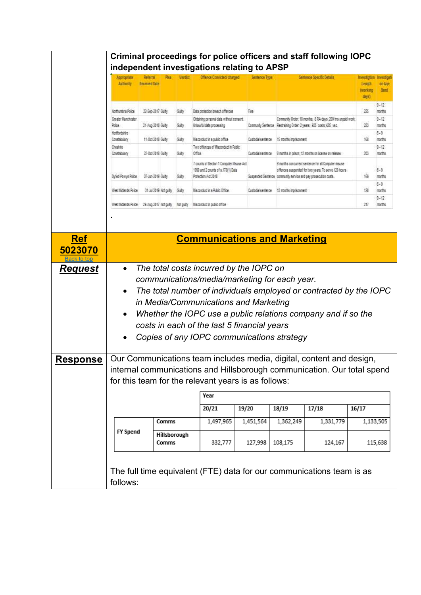<span id="page-5-0"></span>

|                                         | Appropriate<br><b>Authority</b>             | <b>Referral</b><br><b>Received Date</b> | Pleas                 |          | Offence Commided/ charged                                                                                                                                                                              | Sentence Type     |                                                                 | Sentence Specific Details                                                                                                         | Length<br><b>INDERING</b><br>days) | on Age<br><b>Band</b>         |
|-----------------------------------------|---------------------------------------------|-----------------------------------------|-----------------------|----------|--------------------------------------------------------------------------------------------------------------------------------------------------------------------------------------------------------|-------------------|-----------------------------------------------------------------|-----------------------------------------------------------------------------------------------------------------------------------|------------------------------------|-------------------------------|
|                                         | Northumbria Police                          | 22-Sep-2017 Gailty                      |                       | Gay      | Data protection breach offences                                                                                                                                                                        | Fine              |                                                                 |                                                                                                                                   | 275                                | $3 - 12$<br>months            |
|                                         | Greater Manchester<br>Police                | 21-Aug-2018 Gailty                      |                       | Guly     | Obtaining personal data without consent.<br>Unlawful data processing                                                                                                                                   |                   |                                                                 | Community Order: 18 months; 8 RA days; 200 hrs unpaid work;<br>Community Sentence Restraining Order: 2 years; ABS costs; A25 vsc; | 223                                | $3 - 12$<br>months            |
|                                         | Hertfordshire<br>Constabulary<br>Cheshire   | 11-0cl-2018 Gailty                      |                       | Gay      | Misconduct in a sublic office<br>Two offences of Misconduct in Public                                                                                                                                  | Custodal sentence | 15 months monsonment                                            |                                                                                                                                   | 168                                | $8 - 9$<br>months<br>$3 - 12$ |
|                                         | Constabulary                                | 22-0ct-2018 Gailty                      |                       | Guly     | Office.                                                                                                                                                                                                | Custode semence   |                                                                 | 8 months in prison; 12 months on license on release.                                                                              | 20                                 | months                        |
|                                         | Dyfed-Pawys Police                          | 07-Jun-2019 Gailty                      |                       | Guby     | 7 counts of Section 1 Computer Misuse Act<br>1999 and 2 counts of s.170(1) Data<br>Protection Act 2018                                                                                                 |                   | Suspended Sentence community service and pay prosecution costs. | 6 months concurrent sentence for all Computer misuse<br>offences suspended for hwo years. To serve 120 hours                      | 储                                  | $6 - 9$<br>months             |
|                                         | West Midlands Police                        | 31-Jul-2019 Not culty                   |                       | Gay      | Misconduct in a Public Office.                                                                                                                                                                         | Custodal sentence | 12 norths monsonnent                                            |                                                                                                                                   | 128                                | $6 - 9$<br>months             |
|                                         | West Hiclands Police 29-Aug-2017 Not guilty |                                         |                       | Net outy | Misconduct in public office                                                                                                                                                                            |                   |                                                                 |                                                                                                                                   | 217                                | $3 - 12$<br>months            |
| <b>Ref</b><br>5023070<br><b>Request</b> | $\bullet$<br>$\bullet$                      |                                         |                       |          | <b>Communications and Marketing</b><br>The total costs incurred by the IOPC on<br>communications/media/marketing for each year.<br>The total number of individuals employed or contracted by the IOPC  |                   |                                                                 |                                                                                                                                   |                                    |                               |
|                                         |                                             |                                         |                       |          | in Media/Communications and Marketing<br>Whether the IOPC use a public relations company and if so the<br>costs in each of the last 5 financial years<br>Copies of any IOPC communications strategy    |                   |                                                                 |                                                                                                                                   |                                    |                               |
| <b>Response</b>                         |                                             |                                         |                       |          | Our Communications team includes media, digital, content and design,<br>internal communications and Hillsborough communication. Our total spend<br>for this team for the relevant years is as follows: |                   |                                                                 |                                                                                                                                   |                                    |                               |
|                                         |                                             |                                         |                       |          | Year                                                                                                                                                                                                   |                   |                                                                 |                                                                                                                                   |                                    |                               |
|                                         |                                             |                                         |                       |          | 20/21                                                                                                                                                                                                  | 19/20             | 18/19                                                           | 17/18                                                                                                                             | 16/17                              |                               |
|                                         | <b>FY Spend</b>                             |                                         | Comms<br>Hillsborough |          | 1,497,965                                                                                                                                                                                              | 1,451,564         | 1,362,249                                                       | 1,331,779                                                                                                                         |                                    | 1,133,505                     |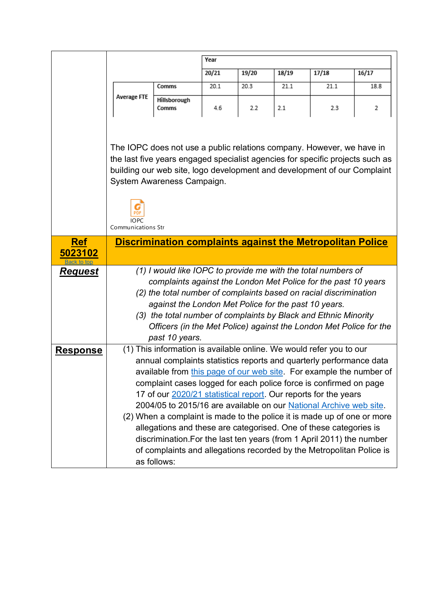<span id="page-6-0"></span>

|                        |                                                 |                                                                                                                                                                                                                                                                                                                                                                                                                                                                                                                                                                                                                                                                                                                                                 | Year  |       |       |       |       |
|------------------------|-------------------------------------------------|-------------------------------------------------------------------------------------------------------------------------------------------------------------------------------------------------------------------------------------------------------------------------------------------------------------------------------------------------------------------------------------------------------------------------------------------------------------------------------------------------------------------------------------------------------------------------------------------------------------------------------------------------------------------------------------------------------------------------------------------------|-------|-------|-------|-------|-------|
|                        |                                                 |                                                                                                                                                                                                                                                                                                                                                                                                                                                                                                                                                                                                                                                                                                                                                 | 20/21 | 19/20 | 18/19 | 17/18 | 16/17 |
|                        |                                                 | Comms                                                                                                                                                                                                                                                                                                                                                                                                                                                                                                                                                                                                                                                                                                                                           | 20.1  | 20.3  | 21.1  | 21.1  | 18.8  |
|                        | <b>Average FTE</b>                              | Hillsborough<br>Comms                                                                                                                                                                                                                                                                                                                                                                                                                                                                                                                                                                                                                                                                                                                           | 4.6   | 2.2   | 2.1   | 2.3   | 2     |
|                        | <b>PDF</b><br><b>IOPC</b><br>Communications Str | The IOPC does not use a public relations company. However, we have in<br>the last five years engaged specialist agencies for specific projects such as<br>building our web site, logo development and development of our Complaint<br>System Awareness Campaign.                                                                                                                                                                                                                                                                                                                                                                                                                                                                                |       |       |       |       |       |
| <b>Ref</b>             |                                                 | <b>Discrimination complaints against the Metropolitan Police</b>                                                                                                                                                                                                                                                                                                                                                                                                                                                                                                                                                                                                                                                                                |       |       |       |       |       |
| 5023102<br>Back to for |                                                 |                                                                                                                                                                                                                                                                                                                                                                                                                                                                                                                                                                                                                                                                                                                                                 |       |       |       |       |       |
| <u>Request</u>         |                                                 | (1) I would like IOPC to provide me with the total numbers of<br>complaints against the London Met Police for the past 10 years<br>(2) the total number of complaints based on racial discrimination<br>against the London Met Police for the past 10 years.<br>(3) the total number of complaints by Black and Ethnic Minority<br>Officers (in the Met Police) against the London Met Police for the<br>past 10 years.                                                                                                                                                                                                                                                                                                                         |       |       |       |       |       |
| <u>Response</u>        |                                                 | (1) This information is available online. We would refer you to our<br>annual complaints statistics reports and quarterly performance data<br>available from this page of our web site. For example the number of<br>complaint cases logged for each police force is confirmed on page<br>17 of our 2020/21 statistical report. Our reports for the years<br>2004/05 to 2015/16 are available on our National Archive web site.<br>(2) When a complaint is made to the police it is made up of one or more<br>allegations and these are categorised. One of these categories is<br>discrimination. For the last ten years (from 1 April 2011) the number<br>of complaints and allegations recorded by the Metropolitan Police is<br>as follows: |       |       |       |       |       |